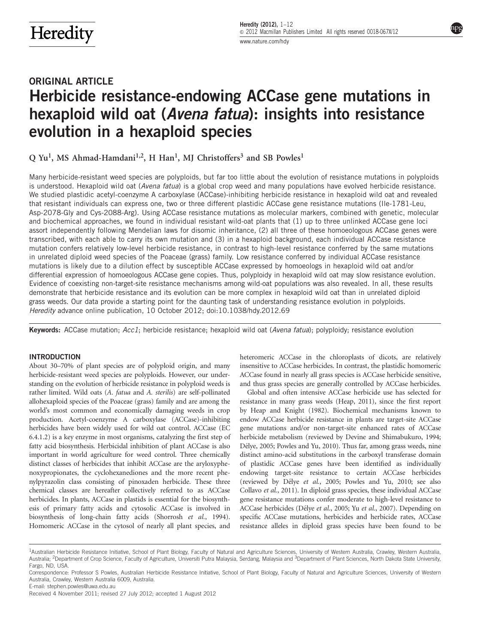# ORIGINAL ARTICLE Herbicide resistance-endowing ACCase gene mutations in hexaploid wild oat (Avena fatua): insights into resistance evolution in a hexaploid species

Q Yu<sup>1</sup>, MS Ahmad-Hamdani<sup>1,2</sup>, H Han<sup>1</sup>, MJ Christoffers<sup>3</sup> and SB Powles<sup>1</sup>

Many herbicide-resistant weed species are polyploids, but far too little about the evolution of resistance mutations in polyploids is understood. Hexaploid wild oat (Avena fatua) is a global crop weed and many populations have evolved herbicide resistance. We studied plastidic acetyl-coenzyme A carboxylase (ACCase)-inhibiting herbicide resistance in hexaploid wild oat and revealed that resistant individuals can express one, two or three different plastidic ACCase gene resistance mutations (Ile-1781-Leu, Asp-2078-Gly and Cys-2088-Arg). Using ACCase resistance mutations as molecular markers, combined with genetic, molecular and biochemical approaches, we found in individual resistant wild-oat plants that (1) up to three unlinked ACCase gene loci assort independently following Mendelian laws for disomic inheritance, (2) all three of these homoeologous ACCase genes were transcribed, with each able to carry its own mutation and (3) in a hexaploid background, each individual ACCase resistance mutation confers relatively low-level herbicide resistance, in contrast to high-level resistance conferred by the same mutations in unrelated diploid weed species of the Poaceae (grass) family. Low resistance conferred by individual ACCase resistance mutations is likely due to a dilution effect by susceptible ACCase expressed by homoeologs in hexaploid wild oat and/or differential expression of homoeologous ACCase gene copies. Thus, polyploidy in hexaploid wild oat may slow resistance evolution. Evidence of coexisting non-target-site resistance mechanisms among wild-oat populations was also revealed. In all, these results demonstrate that herbicide resistance and its evolution can be more complex in hexaploid wild oat than in unrelated diploid grass weeds. Our data provide a starting point for the daunting task of understanding resistance evolution in polyploids. Heredity advance online publication, 10 October 2012; doi[:10.1038/hdy.2012.69](http://dx.doi.org/10.1038/hdy.2012.69)

Keywords: ACCase mutation; Acc1; herbicide resistance; hexaploid wild oat (Avena fatua); polyploidy; resistance evolution

## INTRODUCTION

About 30–70% of plant species are of polyploid origin, and many herbicide-resistant weed species are polyploids. However, our understanding on the evolution of herbicide resistance in polyploid weeds is rather limited. Wild oats (A. fatua and A. sterilis) are self-pollinated allohexaploid species of the Poaceae (grass) family and are among the world's most common and economically damaging weeds in crop production. Acetyl-coenzyme A carboxylase (ACCase)-inhibiting herbicides have been widely used for wild oat control. ACCase (EC 6.4.1.2) is a key enzyme in most organisms, catalyzing the first step of fatty acid biosynthesis. Herbicidal inhibition of plant ACCase is also important in world agriculture for weed control. Three chemically distinct classes of herbicides that inhibit ACCase are the aryloxyphenoxypropionates, the cyclohexanediones and the more recent phenylpyrazolin class consisting of pinoxaden herbicide. These three chemical classes are hereafter collectively referred to as ACCase herbicides. In plants, ACCase in plastids is essential for the biosynthesis of primary fatty acids and cytosolic ACCase is involved in biosynthesis of long-chain fatty acids [\(Shorrosh](#page-11-0) et al., 1994). Homomeric ACCase in the cytosol of nearly all plant species, and heteromeric ACCase in the chloroplasts of dicots, are relatively insensitive to ACCase herbicides. In contrast, the plastidic homomeric ACCase found in nearly all grass species is ACCase herbicide sensitive, and thus grass species are generally controlled by ACCase herbicides.

Global and often intensive ACCase herbicide use has selected for resistance in many grass weeds [\(Heap, 2011\)](#page-11-0), since the first report by [Heap and Knight \(1982\).](#page-11-0) Biochemical mechanisms known to endow ACCase herbicide resistance in plants are target-site ACCase gene mutations and/or non-target-site enhanced rates of ACCase herbicide metabolism (reviewed by [Devine and Shimabukuro, 1994;](#page-11-0) Délye, 2005; Powles and Yu, 2010). Thus far, among grass weeds, nine distinct amino-acid substitutions in the carboxyl transferase domain of plastidic ACCase genes have been identified as individually endowing target-site resistance to certain ACCase herbicides (reviewed by Délye et al.[, 2005](#page-10-0); [Powles and Yu, 2010](#page-11-0); see also [Collavo](#page-10-0) et al., 2011). In diploid grass species, these individual ACCase gene resistance mutations confer moderate to high-level resistance to ACCase herbicides (Délye et al.[, 2005](#page-10-0); Yu et al.[, 2007\)](#page-11-0). Depending on specific ACCase mutations, herbicides and herbicide rates, ACCase resistance alleles in diploid grass species have been found to be

<sup>&</sup>lt;sup>1</sup>Australian Herbicide Resistance Initiative, School of Plant Biology, Faculty of Natural and Agriculture Sciences, University of Western Australia, Crawley, Western Australia, Australia; <sup>2</sup>Department of Crop Science, Faculty of Agriculture, Universiti Putra Malaysia, Serdang, Malaysia and <sup>3</sup>Department of Plant Sciences, North Dakota State University, Fargo, ND, USA.

Correspondence: Professor S Powles, Australian Herbicide Resistance Initiative, School of Plant Biology, Faculty of Natural and Agriculture Sciences, University of Western Australia, Crawley, Western Australia 6009, Australia.

E-mail: [stephen.powles@uwa.edu.au](mailto:stephen.powles@uwa.edu.au)

Received 4 November 2011; revised 27 July 2012; accepted 1 August 2012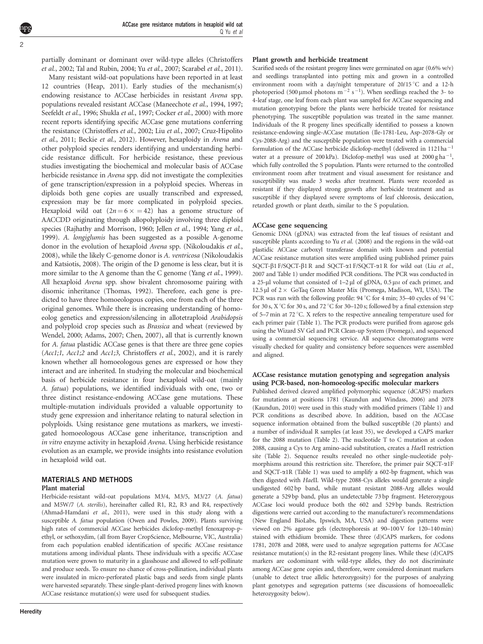partially dominant or dominant over wild-type alleles [\(Christoffers](#page-10-0) et al.[, 2002](#page-10-0); [Tal and Rubin, 2004;](#page-11-0) Yu et al.[, 2007;](#page-11-0) Scarabel et al., 2011).

Many resistant wild-oat populations have been reported in at least 12 countries [\(Heap, 2011\)](#page-11-0). Early studies of the mechanism(s) endowing resistance to ACCase herbicides in resistant Avena spp. populations revealed resistant ACCase [\(Maneechote](#page-11-0) et al., 1994, 1997; [Seefeldt](#page-11-0) et al., 1996; [Shukla](#page-11-0) et al., 1997; [Cocker](#page-10-0) et al., 2000) with more recent reports identifying specific ACCase gene mutations conferring the resistance ([Christoffers](#page-10-0) et al., 2002; Liu et al.[, 2007](#page-11-0); Cruz-[Hipolito](#page-10-0) et al.[, 2011; Beckie](#page-10-0) et al., 2012). However, hexaploidy in Avena and other polyploid species renders identifying and understanding herbicide resistance difficult. For herbicide resistance, these previous studies investigating the biochemical and molecular basis of ACCase herbicide resistance in Avena spp. did not investigate the complexities of gene transcription/expression in a polyploid species. Whereas in diploids both gene copies are usually transcribed and expressed, expression may be far more complicated in polyploid species. Hexaploid wild oat  $(2n = 6 \times 42)$  has a genome structure of AACCDD originating through allopolyploidy involving three diploid species ([Rajhathy and Morrison, 1960;](#page-11-0) Jellen et al.[, 1994;](#page-11-0) Yang [et al.](#page-11-0), [1999](#page-11-0)). A. longiglumis has been suggested as a possible A-genome donor in the evolution of hexaploid Avena spp. [\(Nikoloudakis](#page-11-0) et al., [2008](#page-11-0)), while the likely C-genome donor is A. ventricosa [\(Nikoloudakis](#page-11-0) [and Katsiotis, 2008\)](#page-11-0). The origin of the D genome is less clear, but it is more similar to the A genome than the C genome (Yang et al.[, 1999\)](#page-11-0). All hexaploid Avena spp. show bivalent chromosome pairing with disomic inheritance [\(Thomas, 1992](#page-11-0)). Therefore, each gene is predicted to have three homoeologous copies, one from each of the three original genomes. While there is increasing understanding of homoeolog genetics and expression/silencing in allotetraploid Arabidopsis and polyploid crop species such as Brassica and wheat (reviewed by [Wendel, 2000](#page-11-0); [Adams, 2007; Chen, 2007\)](#page-10-0), all that is currently known for A. fatua plastidic ACCase genes is that there are three gene copies (Acc1;1, Acc1;2 and Acc1;3, [Christoffers](#page-10-0) et al., 2002), and it is rarely known whether all homoeologous genes are expressed or how they interact and are inherited. In studying the molecular and biochemical basis of herbicide resistance in four hexaploid wild-oat (mainly A. fatua) populations, we identified individuals with one, two or three distinct resistance-endowing ACCase gene mutations. These multiple-mutation individuals provided a valuable opportunity to study gene expression and inheritance relating to natural selection in polyploids. Using resistance gene mutations as markers, we investigated homoeologous ACCase gene inheritance, transcription and in vitro enzyme activity in hexaploid Avena. Using herbicide resistance evolution as an example, we provide insights into resistance evolution in hexaploid wild oat.

#### MATERIALS AND METHODS Plant material

Herbicide-resistant wild-oat populations M3/4, M3/5, M3/27 (A. fatua) and M5W/7 (A. sterilis), hereinafter called R1, R2, R3 and R4, respectively (Ahmad-[Hamdani](#page-10-0) et al., 2011), were used in this study along with a susceptible A. fatua population ([Owen and Powles, 2009](#page-11-0)). Plants surviving high rates of commercial ACCase herbicides diclofop-methyl fenoxaprop-pethyl, or sethoxydim, (all from Bayer CropScience, Melbourne, VIC, Australia) from each population enabled identification of specific ACCase resistance mutations among individual plants. These individuals with a specific ACCase mutation were grown to maturity in a glasshouse and allowed to self-pollinate and produce seeds. To ensure no chance of cross-pollination, individual plants were insulated in micro-perforated plastic bags and seeds from single plants were harvested separately. These single-plant-derived progeny lines with known ACCase resistance mutation(s) were used for subsequent studies.

#### Plant growth and herbicide treatment

Scarified seeds of the resistant progeny lines were germinated on agar (0.6% w/v) and seedlings transplanted into potting mix and grown in a controlled environment room with a day/night temperature of  $20/15\textdegree C$  and a 12-h photoperiod (500 µmol photons m<sup>-2</sup> s<sup>-1</sup>). When seedlings reached the 3- to 4-leaf stage, one leaf from each plant was sampled for ACCase sequencing and mutation genotyping before the plants were herbicide treated for resistance phenotyping. The susceptible population was treated in the same manner. Individuals of the R progeny lines specifically identified to possess a known resistance-endowing single-ACCase mutation (Ile-1781-Leu, Asp-2078-Gly or Cys-2088-Arg) and the susceptible population were treated with a commercial formulation of the ACCase herbicide diclofop-methyl (delivered in  $112$  l ha<sup> $-1$ </sup> water at a pressure of 200 kPa). Diclofop-methyl was used at  $2000 \rho h a^{-1}$ , which fully controlled the S population. Plants were returned to the controlled environment room after treatment and visual assessment for resistance and susceptibility was made 3 weeks after treatment. Plants were recorded as resistant if they displayed strong growth after herbicide treatment and as susceptible if they displayed severe symptoms of leaf chlorosis, desiccation, retarded growth or plant death, similar to the S population.

#### ACCase gene sequencing

Genomic DNA (gDNA) was extracted from the leaf tissues of resistant and susceptible plants according to Yu et al. [\(2008\)](#page-11-0) and the regions in the wild-oat plastidic ACCase carboxyl transferase domain with known and potential ACCase resistance mutation sites were amplified using published primer pairs SQCT-β1 F/SQCT-β1 R and SQCT-α1 F/SQCT-α1 R for wild oat (Liu [et al.](#page-11-0), [2007](#page-11-0) and [Table 1](#page-2-0)) under modified PCR conditions. The PCR was conducted in a 25-µl volume that consisted of  $1-2$  µl of gDNA, 0.5 µM of each primer, and 12.5 µl of  $2 \times$  GoTaq Green Master Mix (Promega, Madison, WI, USA). The PCR was run with the following profile:  $94^{\circ}$ C for 4 min; 35–40 cycles of  $94^{\circ}$ C for 30 s, X $\degree$ C for 30 s, and 72  $\degree$ C for 30–120 s; followed by a final extension step of 5–7 min at 72 °C. X refers to the respective annealing temperature used for each primer pair [\(Table 1](#page-2-0)). The PCR products were purified from agarose gels using the Wizard SV Gel and PCR Clean-up System (Promega), and sequenced using a commercial sequencing service. All sequence chromatograms were visually checked for quality and consistency before sequences were assembled and aligned.

### ACCase resistance mutation genotyping and segregation analysis using PCR-based, non-homoeolog-specific molecular markers

Published derived cleaved amplified polymorphic sequence (dCAPS) markers for mutations at positions 1781 [\(Kaundun and Windass, 2006\)](#page-11-0) and 2078 [\(Kaundun, 2010\)](#page-11-0) were used in this study with modified primers ([Table 1](#page-2-0)) and PCR conditions as described above. In addition, based on the ACCase sequence information obtained from the bulked susceptible (20 plants) and a number of individual R samples (at least 35), we developed a CAPS marker for the 2088 mutation [\(Table 2\)](#page-2-0). The nucleotide T to C mutation at codon 2088, causing a Cys to Arg amino-acid substitution, creates a HaeII restriction site [\(Table 2](#page-2-0)). Sequence results revealed no other single-nucleotide polymorphisms around this restriction site. Therefore, the primer pair  $SQCT-\alpha1F$ and SQCT- $\alpha$ 1R [\(Table 1\)](#page-2-0) was used to amplify a 602-bp fragment, which was then digested with HaeII. Wild-type 2088-Cys alleles would generate a single undigested 602 bp band, while mutant resistant 2088-Arg alleles would generate a 529 bp band, plus an undetectable 73 bp fragment. Heterozygous ACCase loci would produce both the 602 and 529 bp bands. Restriction digestions were carried out according to the manufacturer's recommendations (New England BioLabs, Ipswich, MA, USA) and digestion patterns were viewed on 2% agarose gels (electrophoresis at 90–100 V for 120–140 min) stained with ethidium bromide. These three (d)CAPS markers, for codons 1781, 2078 and 2088, were used to analyze segregation patterns for ACCase resistance mutation(s) in the R2-resistant progeny lines. While these (d)CAPS markers are codominant with wild-type alleles, they do not discriminate among ACCase gene copies and, therefore, were considered dominant markers (unable to detect true allelic heterozygosity) for the purposes of analyzing plant genotypes and segregation patterns (see discussions of homoeoallelic heterozygosity below).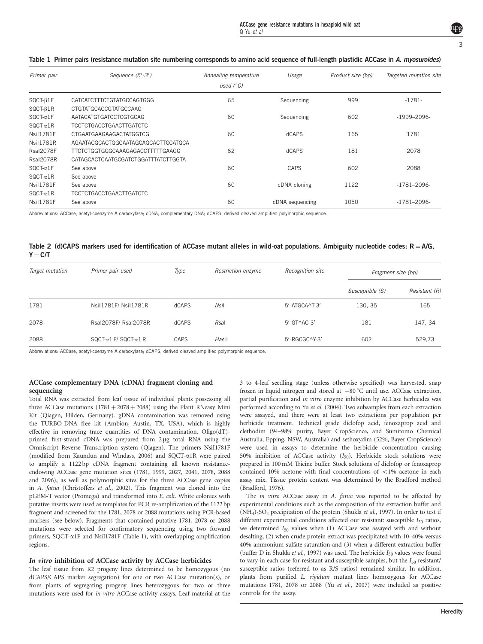#### <span id="page-2-0"></span>Table 1 Primer pairs (resistance mutation site numbering corresponds to amino acid sequence of full-length plastidic ACCase in A. myosuroides)

| Primer pair      | Sequence (5'-3')                    | Annealing temperature<br>used $(^{\circ}C)$ | Usage           | Product size (bp) | Targeted mutation site |
|------------------|-------------------------------------|---------------------------------------------|-----------------|-------------------|------------------------|
| $SQCT-B1F$       | CATCATCTTTCTGTATGCCAGTGGG           | 65                                          | Sequencing      | 999               | $-1781-$               |
| $SQCT-B1R$       | CTGTATGCACCGTATGCCAAG               |                                             |                 |                   |                        |
| $SQCT-\alpha 1F$ | AATACATGTGATCCTCGTGCAG              | 60                                          | Sequencing      | 602               | $-1999 - 2096 -$       |
| $SQCT-\alpha 1R$ | <b>TCCTCTGACCTGAACTTGATCTC</b>      |                                             |                 |                   |                        |
| <b>Nsil1781F</b> | CTGAATGAAGAAGACTATGGTCG             | 60                                          | <b>dCAPS</b>    | 165               | 1781                   |
| <b>Nsil1781R</b> | AGAATACGCACTGGCAATAGCAGCACTTCCATGCA |                                             |                 |                   |                        |
| Rsal2078F        | TTCTCTGGTGGGCAAAGAGACCTTTTTGAAGG    | 62                                          | dCAPS           | 181               | 2078                   |
| <b>Rsal2078R</b> | CATAGCACTCAATGCGATCTGGATTTATCTTGGTA |                                             |                 |                   |                        |
| $SQCT-\alpha 1F$ | See above                           | 60                                          | CAPS            | 602               | 2088                   |
| $SQCT-\alpha 1R$ | See above                           |                                             |                 |                   |                        |
| <b>Nsil1781F</b> | See above                           | 60                                          | cDNA cloning    | 1122              | $-1781 - 2096$         |
| $SQCT-\alpha 1R$ | <b>TCCTCTGACCTGAACTTGATCTC</b>      |                                             |                 |                   |                        |
| <b>Nsil1781F</b> | See above                           | 60                                          | cDNA sequencing | 1050              | $-1781 - 2096$         |

Abbreviations: ACCase, acetyl-coenzyme A carboxylase; cDNA, complementary DNA; dCAPS, derived cleaved amplified polymorphic sequence.

## Table 2 (d)CAPS markers used for identification of ACCase mutant alleles in wild-oat populations. Ambiguity nucleotide codes:  $R = A/G$ ,  $Y = C/T$

| Target mutation | Primer pair used                  | Type         | Restriction enzyme | Recognition site           | Fragment size (bp) |               |
|-----------------|-----------------------------------|--------------|--------------------|----------------------------|--------------------|---------------|
|                 |                                   |              |                    |                            | Susceptible (S)    | Resistant (R) |
| 1781            | Nsil1781F/ Nsil1781R              | <b>dCAPS</b> | Nsil               | 5'-ATGCA^T-3'              | 130, 35            | 165           |
| 2078            | Rsal2078F/ Rsal2078R              | <b>dCAPS</b> | Rsal               | $5'$ -GT $^{\wedge}$ AC-3' | 181                | 147, 34       |
| 2088            | $SQCT-\alpha 1 F/SQCT-\alpha 1 R$ | <b>CAPS</b>  | Haell              | 5'-RGCGC^Y-3'              | 602                | 529,73        |

Abbreviations: ACCase, acetyl-coenzyme A carboxylase; dCAPS, derived cleaved amplified polymorphic sequence.

# ACCase complementary DNA (cDNA) fragment cloning and sequencing

Total RNA was extracted from leaf tissue of individual plants possessing all three ACCase mutations  $(1781 + 2078 + 2088)$  using the Plant RNeasy Mini Kit (Qiagen, Hilden, Germany). gDNA contamination was removed using the TURBO-DNA free kit (Ambion, Austin, TX, USA), which is highly effective in removing trace quantities of DNA contamination. Oligo(dT) primed first-strand cDNA was prepared from 2 µg total RNA using the Omniscript Reverse Transcription system (Qiagen). The primers NsiI1781F (modified from [Kaundun and Windass, 2006](#page-11-0)) and SQCT-a1R were paired to amplify a 1122 bp cDNA fragment containing all known resistanceendowing ACCase gene mutation sites (1781, 1999, 2027, 2041, 2078, 2088 and 2096), as well as polymorphic sites for the three ACCase gene copies in A. fatua ([Christoffers](#page-10-0) et al., 2002). This fragment was cloned into the pGEM-T vector (Promega) and transformed into E. coli. White colonies with putative inserts were used as templates for PCR re-amplification of the 1122 bp fragment and screened for the 1781, 2078 or 2088 mutations using PCR-based markers (see below). Fragments that contained putative 1781, 2078 or 2088 mutations were selected for confirmatory sequencing using two forward primers, SQCT-a1F and NsiI1781F (Table 1), with overlapping amplification regions.

#### In vitro inhibition of ACCase activity by ACCase herbicides

The leaf tissue from R2 progeny lines determined to be homozygous (no dCAPS/CAPS marker segregation) for one or two ACCase mutation(s), or from plants of segregating progeny lines heterozygous for two or three mutations were used for in vitro ACCase activity assays. Leaf material at the

3 to 4-leaf seedling stage (unless otherwise specified) was harvested, snap frozen in liquid nitrogen and stored at  $-80^{\circ}$ C until use. ACCase extraction, partial purification and in vitro enzyme inhibition by ACCase herbicides was performed according to Yu et al. [\(2004\)](#page-11-0). Two subsamples from each extraction were assayed, and there were at least two extractions per population per herbicide treatment. Technical grade diclofop acid, fenoxaprop acid and clethodim (94–98% purity, Bayer CropScience, and Sumitomo Chemical Australia, Epping, NSW, Australia) and sethoxydim (52%, Bayer CropScience) were used in assays to determine the herbicide concentration causing 50% inhibition of ACCase activity  $(I_{50})$ . Herbicide stock solutions were prepared in 100 mM Tricine buffer. Stock solutions of diclofop or fenoxaprop contained 10% acetone with final concentrations of  $\langle 1\%$  acetone in each assay mix. Tissue protein content was determined by the Bradford method ([Bradford, 1976](#page-10-0)).

The *in vitro* ACCase assay in A. fatua was reported to be affected by experimental conditions such as the composition of the extraction buffer and  $(NH<sub>4</sub>)<sub>2</sub>SO<sub>4</sub>$  precipitation of the protein [\(Shukla](#page-11-0) et al., 1997). In order to test if different experimental conditions affected our resistant: susceptible  $I_{50}$  ratios, we determined  $I_{50}$  values when (1) ACCase was assayed with and without desalting, (2) when crude protein extract was precipitated with 10–40% versus 40% ammonium sulfate saturation and (3) when a different extraction buffer (buffer D in [Shukla](#page-11-0) et al., 1997) was used. The herbicide  $I_{50}$  values were found to vary in each case for resistant and susceptible samples, but the  $I_{50}$  resistant/ susceptible ratios (referred to as R/S ratios) remained similar. In addition, plants from purified L. rigidum mutant lines homozygous for ACCase mutations 1781, 2078 or 2088 (Yu et al.[, 2007](#page-11-0)) were included as positive controls for the assay.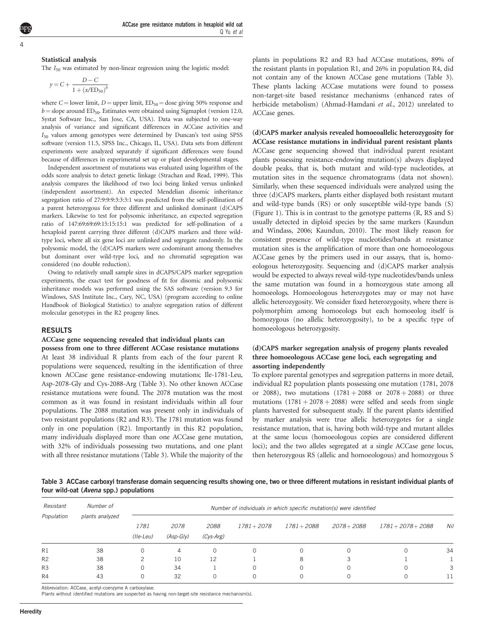#### <span id="page-3-0"></span>Statistical analysis

The  $I_{50}$  was estimated by non-linear regression using the logistic model:

$$
y = C + \frac{D - C}{1 + (x/\text{ED}_{50})^b}
$$

where  $C =$  lower limit,  $D =$  upper limit,  $ED_{50} =$  dose giving 50% response and  $b =$ slope around ED<sub>50</sub>. Estimates were obtained using Sigmaplot (version 12.0, Systat Software Inc., San Jose, CA, USA). Data was subjected to one-way analysis of variance and significant differences in ACCase activities and  $I_{50}$  values among genotypes were determined by Duncan's test using SPSS software (version 11.5, SPSS Inc., Chicago, IL, USA). Data sets from different experiments were analyzed separately if significant differences were found because of differences in experimental set up or plant developmental stages.

Independent assortment of mutations was evaluated using logarithm of the odds score analysis to detect genetic linkage [\(Strachan and Read, 1999](#page-11-0)). This analysis compares the likelihood of two loci being linked versus unlinked (independent assortment). An expected Mendelian disomic inheritance segregation ratio of 27:9:9:9:3:3:3:1 was predicted from the self-pollination of a parent heterozygous for three different and unlinked dominant (d)CAPS markers. Likewise to test for polysomic inheritance, an expected segregation ratio of 147:69:69:69:15:15:15:1 was predicted for self-pollination of a hexaploid parent carrying three different (d)CAPS markers and three wildtype loci, where all six gene loci are unlinked and segregate randomly. In the polysomic model, the (d)CAPS markers were codominant among themselves but dominant over wild-type loci, and no chromatid segregation was considered (no double reduction).

Owing to relatively small sample sizes in dCAPS/CAPS marker segregation experiments, the exact test for goodness of fit for disomic and polysomic inheritance models was performed using the SAS software (version 9.3 for Windows, SAS Institute Inc., Cary, NC, USA) (program according to online Handbook of Biological Statistics) to analyze segregation ratios of different molecular genotypes in the R2 progeny lines.

#### RESULTS

# ACCase gene sequencing revealed that individual plants can

possess from one to three different ACCase resistance mutations At least 38 individual R plants from each of the four parent R populations were sequenced, resulting in the identification of three known ACCase gene resistance-endowing mutations; Ile-1781-Leu, Asp-2078-Gly and Cys-2088-Arg (Table 3). No other known ACCase resistance mutations were found. The 2078 mutation was the most common as it was found in resistant individuals within all four populations. The 2088 mutation was present only in individuals of two resistant populations (R2 and R3). The 1781 mutation was found only in one population (R2). Importantly in this R2 population, many individuals displayed more than one ACCase gene mutation, with 32% of individuals possessing two mutations, and one plant with all three resistance mutations (Table 3). While the majority of the

plants in populations R2 and R3 had ACCase mutations, 89% of the resistant plants in population R1, and 26% in population R4, did not contain any of the known ACCase gene mutations (Table 3). These plants lacking ACCase mutations were found to possess non-target-site based resistance mechanisms (enhanced rates of herbicide metabolism) (Ahmad-Hamdani et al., 2012) unrelated to ACCase genes.

(d)CAPS marker analysis revealed homoeoallelic heterozygosity for ACCase resistance mutations in individual parent resistant plants ACCase gene sequencing showed that individual parent resistant plants possessing resistance-endowing mutation(s) always displayed double peaks, that is, both mutant and wild-type nucleotides, at mutation sites in the sequence chromatograms (data not shown). Similarly, when these sequenced individuals were analyzed using the three (d)CAPS markers, plants either displayed both resistant mutant and wild-type bands (RS) or only susceptible wild-type bands (S) ([Figure 1\)](#page-4-0). This is in contrast to the genotype patterns (R, RS and S) usually detected in diploid species by the same markers [\(Kaundun](#page-11-0) [and Windass, 2006](#page-11-0); [Kaundun, 2010\)](#page-11-0). The most likely reason for consistent presence of wild-type nucleotides/bands at resistance mutation sites is the amplification of more than one homoeologous ACCase genes by the primers used in our assays, that is, homoeologous heterozygosity. Sequencing and (d)CAPS marker analysis would be expected to always reveal wild-type nucleotides/bands unless the same mutation was found in a homozygous state among all homoeologs. Homoeologous heterozygotes may or may not have allelic heterozygosity. We consider fixed heterozygosity, where there is polymorphim among homoeologs but each homoeolog itself is homozygous (no allelic heterozygosity), to be a specific type of homoeologous heterozygosity.

## (d)CAPS marker segregation analysis of progeny plants revealed three homoeologous ACCase gene loci, each segregating and assorting independently

To explore parental genotypes and segregation patterns in more detail, individual R2 population plants possessing one mutation (1781, 2078 or 2088), two mutations  $(1781 + 2088)$  or  $2078 + 2088$  or three mutations  $(1781 + 2078 + 2088)$  were selfed and seeds from single plants harvested for subsequent study. If the parent plants identified by marker analysis were true allelic heterozygotes for a single resistance mutation, that is, having both wild-type and mutant alleles at the same locus (homoeologous copies are considered different loci); and the two alleles segregated at a single ACCase gene locus, then heterozygous RS (allelic and homoeologous) and homozygous S

Table 3 ACCase carboxyl transferase domain sequencing results showing one, two or three different mutations in resistant individual plants of four wild-oat (Avena spp.) populations

| Resistant<br>Population | Number of<br>plants analyzed | Number of individuals in which specific mutation(s) were identified |                     |                     |               |             |             |                    |    |  |
|-------------------------|------------------------------|---------------------------------------------------------------------|---------------------|---------------------|---------------|-------------|-------------|--------------------|----|--|
|                         |                              | 1781<br>$(IIe-Leu)$                                                 | 2078<br>$(Asp-Gly)$ | 2088<br>$(Cys-Arg)$ | $1781 + 2078$ | 1781 + 2088 | 2078 + 2088 | 1781 + 2078 + 2088 | Ni |  |
| R1                      | 38                           |                                                                     | 4                   | $\Omega$            | $\Omega$      | $\Omega$    |             |                    | 34 |  |
| R <sub>2</sub>          | 38                           |                                                                     | 10                  | 12                  |               | 8           |             |                    |    |  |
| R <sub>3</sub>          | 38                           |                                                                     | 34                  |                     | 0             | 0           |             |                    |    |  |
| R4                      | 43                           |                                                                     | 32                  |                     |               |             |             |                    | 11 |  |

Abbreviation: ACCase, acetyl-coenzyme A carboxylase.

Plants without identified mutations are suspected as having non-target-site resistance mechanism(s).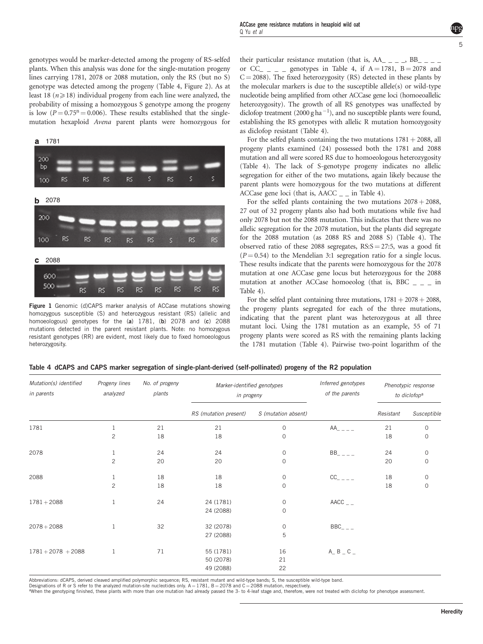<span id="page-4-0"></span>genotypes would be marker-detected among the progeny of RS-selfed plants. When this analysis was done for the single-mutation progeny lines carrying 1781, 2078 or 2088 mutation, only the RS (but no S) genotype was detected among the progeny (Table 4, [Figure 2](#page-5-0)). As at least 18 ( $n \ge 18$ ) individual progeny from each line were analyzed, the probability of missing a homozygous S genotype among the progeny is low  $(P = 0.75^n = 0.006)$ . These results established that the singlemutation hexaploid Avena parent plants were homozygous for



Figure 1 Genomic (d)CAPS marker analysis of ACCase mutations showing homozygous susceptible (S) and heterozygous resistant (RS) (allelic and homoeologous) genotypes for the (a) 1781, (b) 2078 and (c) 2088 mutations detected in the parent resistant plants. Note: no homozygous resistant genotypes (RR) are evident, most likely due to fixed homoeologous heterozygosity.

their particular resistance mutation (that is,  $AA_{-}$   $_{-}$   $_{-}$   $,BB_{-}$   $_{-}$   $_{-}$ or CC\_ \_ \_ \_ genotypes in Table 4, if  $A = 1781$ ,  $B = 2078$  and  $C = 2088$ ). The fixed heterozygosity (RS) detected in these plants by the molecular markers is due to the susceptible allele(s) or wild-type nucleotide being amplified from other ACCase gene loci (homoeoallelic heterozygosity). The growth of all RS genotypes was unaffected by diclofop treatment (2000 g ha<sup>-1</sup>), and no susceptible plants were found, establishing the RS genotypes with allelic R mutation homozygosity as diclofop resistant (Table 4).

For the selfed plants containing the two mutations  $1781 + 2088$ , all progeny plants examined (24) possessed both the 1781 and 2088 mutation and all were scored RS due to homoeologous heterozygosity (Table 4). The lack of S-genotype progeny indicates no allelic segregation for either of the two mutations, again likely because the parent plants were homozygous for the two mutations at different ACCase gene loci (that is, AACC  $\overline{\phantom{a}}$  = in Table 4).

For the selfed plants containing the two mutations  $2078 + 2088$ , 27 out of 32 progeny plants also had both mutations while five had only 2078 but not the 2088 mutation. This indicates that there was no allelic segregation for the 2078 mutation, but the plants did segregate for the 2088 mutation (as 2088 RS and 2088 S) (Table 4). The observed ratio of these 2088 segregates,  $RS: S = 27:5$ , was a good fit  $(P = 0.54)$  to the Mendelian 3:1 segregation ratio for a single locus. These results indicate that the parents were homozygous for the 2078 mutation at one ACCase gene locus but heterozygous for the 2088 mutation at another ACCase homoeolog (that is, BBC  $=$   $=$   $=$  in Table 4).

For the selfed plant containing three mutations,  $1781 + 2078 + 2088$ , the progeny plants segregated for each of the three mutations, indicating that the parent plant was heterozygous at all three mutant loci. Using the 1781 mutation as an example, 55 of 71 progeny plants were scored as RS with the remaining plants lacking the 1781 mutation (Table 4). Pairwise two-point logarithm of the

Table 4 dCAPS and CAPS marker segregation of single-plant-derived (self-pollinated) progeny of the R2 population

| Mutation(s) identified<br>in parents | Progeny lines<br>analyzed | No. of progeny<br>plants | Marker-identified genotypes<br>in progeny |                     | Inferred genotypes<br>of the parents               | Phenotypic response<br>to diclofop <sup>a</sup> |             |
|--------------------------------------|---------------------------|--------------------------|-------------------------------------------|---------------------|----------------------------------------------------|-------------------------------------------------|-------------|
|                                      |                           |                          | RS (mutation present)                     | S (mutation absent) |                                                    | Resistant                                       | Susceptible |
| 1781                                 | $\mathbf{1}$              | 21                       | 21                                        | 0                   | $\mathsf{AA}_{----}$                               | 21                                              | $\circ$     |
|                                      | $\overline{c}$            | 18                       | 18                                        | $\mathsf{O}\xspace$ |                                                    | 18                                              | $\mathbf 0$ |
| 2078                                 | 1                         | 24                       | 24                                        | 0                   | $BB$ <sub>----</sub>                               | 24                                              | 0           |
|                                      | $\overline{c}$            | 20                       | 20                                        | $\mathbf 0$         |                                                    | 20                                              | $\mathbf 0$ |
| 2088                                 | 1                         | 18                       | 18                                        | 0                   | $CC_{---}$                                         | 18                                              | $\circ$     |
|                                      | $\overline{c}$            | 18                       | 18                                        | $\mathsf{O}\xspace$ |                                                    | 18                                              | $\mathbf 0$ |
| $1781 + 2088$                        | 1                         | 24                       | 24 (1781)                                 | $\mathbf 0$         | $AACC$ <sub>-</sub>                                |                                                 |             |
|                                      |                           |                          | 24 (2088)                                 | $\mathbf 0$         |                                                    |                                                 |             |
| $2078 + 2088$                        | $\mathbf{1}$              | 32                       | 32 (2078)                                 | $\mathbf 0$         | $BBC_{- - -}$                                      |                                                 |             |
|                                      |                           |                          | 27 (2088)                                 | 5                   |                                                    |                                                 |             |
| $1781 + 2078 + 2088$                 | 1                         | 71                       | 55 (1781)                                 | 16                  | $A$ <sub>-</sub> $B$ <sub>-</sub> $C$ <sub>-</sub> |                                                 |             |
|                                      |                           |                          | 50 (2078)                                 | 21                  |                                                    |                                                 |             |
|                                      |                           |                          | 49 (2088)                                 | 22                  |                                                    |                                                 |             |

Abbreviations: dCAPS, derived cleaved amplified polymorphic sequence; RS, resistant mutant and wild-type bands; S, the susceptible wild-type band.<br>Designations of R or S refer to the analyzed mutation-site nucleotides only

aWhen the genotyping finished, these plants with more than one mutation had already passed the 3- to 4-leaf stage and, therefore, were not treated with diclofop for phenotype assessment.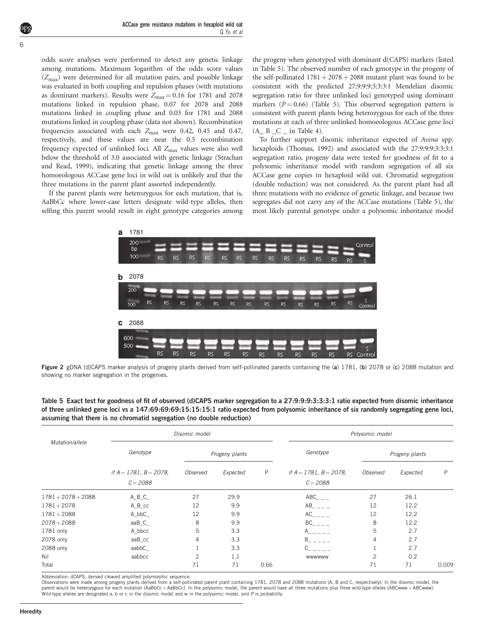<span id="page-5-0"></span>odds score analyses were performed to detect any genetic linkage among mutations. Maximum logarithm of the odds score values  $(Z_{\text{max}})$  were determined for all mutation pairs, and possible linkage was evaluated in both coupling and repulsion phases (with mutations as dominant markers). Results were  $Z_{\text{max}} = 0.16$  for 1781 and 2078 mutations linked in repulsion phase, 0.07 for 2078 and 2088 mutations linked in coupling phase and 0.03 for 1781 and 2088 mutations linked in coupling phase (data not shown). Recombination frequencies associated with each  $Z_{\text{max}}$  were 0.42, 0.45 and 0.47, respectively, and these values are near the 0.5 recombination frequency expected of unlinked loci. All  $Z_{\text{max}}$  values were also well below the threshold of 3.0 associated with genetic linkage [\(Strachan](#page-11-0) [and Read, 1999\)](#page-11-0), indicating that genetic linkage among the three homoeologous ACCase gene loci in wild oat is unlikely and that the three mutations in the parent plant assorted independently.

If the parent plants were heterozygous for each mutation, that is, AaBbCc where lower-case letters designate wild-type alleles, then selfing this parent would result in eight genotype categories among the progeny when genotyped with dominant d(CAPS) markers (listed in Table 5). The observed number of each genotype in the progeny of the self-pollinated  $1781 + 2078 + 2088$  mutant plant was found to be consistent with the predicted 27:9:9:9:3:3:3:1 Mendelian disomic segregation ratio for three unlinked loci genotyped using dominant markers ( $P = 0.66$ ) (Table 5). This observed segregation pattern is consistent with parent plants being heterozygous for each of the three mutations at each of three unlinked homoeologous ACCase gene loci  $(A \ B \ C \ in Table 4).$  $(A \ B \ C \ in Table 4).$  $(A \ B \ C \ in Table 4).$ 

To further support disomic inheritance expected of Avena spp. hexaploids [\(Thomas, 1992](#page-11-0)) and associated with the 27:9:9:9:3:3:3:1 segregation ratio, progeny data were tested for goodness of fit to a polysomic inheritance model with random segregation of all six ACCase gene copies in hexaploid wild oat. Chromatid segregation (double reduction) was not considered. As the parent plant had all three mutations with no evidence of genetic linkage, and because two segregates did not carry any of the ACCase mutations (Table 5), the most likely parental genotype under a polysomic inheritance model



Figure 2 gDNA (d)CAPS marker analysis of progeny plants derived from self-pollinated parents containing the (a) 1781, (b) 2078 or (c) 2088 mutation and showing no marker segregation in the progenies.

Table 5 Exact test for goodness of fit of observed (d)CAPS marker segregation to a 27:9:9:9:3:3:3:1 ratio expected from disomic inheritance of three unlinked gene loci vs a 147:69:69:69:15:15:15:1 ratio expected from polysomic inheritance of six randomly segregating gene loci, assuming that there is no chromatid segregation (no double reduction)

| Mutation/allele      | Disomic model                                               |                 |          |          | Polysomic model                            |                |          |       |
|----------------------|-------------------------------------------------------------|-----------------|----------|----------|--------------------------------------------|----------------|----------|-------|
|                      | Genotype                                                    | Progeny plants  |          | Genotype | Progeny plants                             |                |          |       |
|                      | if $A = 1781$ , $B = 2078$ ,<br>$C = 2088$                  | <b>Observed</b> | Expected | P        | if $A = 1781$ , $B = 2078$ ,<br>$C = 2088$ | Observed       | Expected | P     |
| $1781 + 2078 + 2088$ | $A$ <sub><math>B</math></sub> $C$ <sub><math>-</math></sub> | 27              | 29.9     |          | $ABC_{- -}$                                | 27             | 26.1     |       |
| $1781 + 2078$        | $A_B_{cc}$                                                  | 12              | 9.9      |          | $AB_{- - - -}$                             | 12             | 12.2     |       |
| $1781 + 2088$        | $A_{bbC}$                                                   | 12              | 9.9      |          | $AC_{---}$                                 | 12             | 12.2     |       |
| $2078 + 2088$        | $aaB_C$                                                     | 8               | 9.9      |          | $BC_{---}$                                 | 8              | 12.2     |       |
| 1781 only            | A bbcc                                                      | 5               | 3.3      |          | A                                          | 5              | 2.7      |       |
| 2078 only            | aaB_cc                                                      | 4               | 3.3      |          | $B \sim 1$                                 | 4              | 2.7      |       |
| 2088 only            | aabbC                                                       |                 | 3.3      |          |                                            |                | 2.7      |       |
| Nil                  | aabbcc                                                      | $\overline{c}$  | 1.1      |          | wwwwww                                     | $\overline{c}$ | 0.2      |       |
| Total                |                                                             | 71              | 71       | 0.66     |                                            | 71             | 71       | 0.009 |

Abbreviation: dCAPS, derived cleaved amplified polymorphic sequence.

Observations were made among progeny plants derived from a self-pollinated parent plant containing 1781, 2078 and 2088 mutations (A, B and C, respectively). In the disomic model, the<br>parent would be heterozygous for each m Wild-type alleles are designated a, b or c in the disomic model and w in the polysomic model, and  $P$  is probability.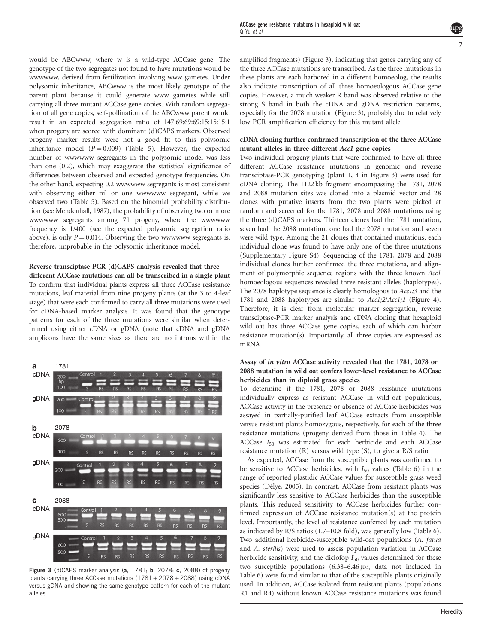<span id="page-6-0"></span>would be ABCwww, where w is a wild-type ACCase gene. The genotype of the two segregates not found to have mutations would be wwwwww, derived from fertilization involving www gametes. Under polysomic inheritance, ABCwww is the most likely genotype of the parent plant because it could generate www gametes while still carrying all three mutant ACCase gene copies. With random segregation of all gene copies, self-pollination of the ABCwww parent would result in an expected segregation ratio of 147:69:69:69:15:15:15:1 when progeny are scored with dominant (d)CAPS markers. Observed progeny marker results were not a good fit to this polysomic inheritance model  $(P = 0.009)$  [\(Table 5\)](#page-5-0). However, the expected number of wwwwww segregants in the polysomic model was less than one (0.2), which may exaggerate the statistical significance of differences between observed and expected genotype frequencies. On the other hand, expecting 0.2 wwwwww segregants is most consistent with observing either nil or one wwwwww segregant, while we observed two [\(Table 5\)](#page-5-0). Based on the binomial probability distribution (see Mendenhall, 1987), the probability of observing two or more wwwwww segregants among 71 progeny, where the wwwwww frequency is 1/400 (see the expected polysomic segregation ratio above), is only  $P = 0.014$ . Observing the two wwwwww segregants is, therefore, improbable in the polysomic inheritance model.

## Reverse transciptase-PCR (d)CAPS analysis revealed that three

different ACCase mutations can all be transcribed in a single plant To confirm that individual plants express all three ACCase resistance mutations, leaf material from nine progeny plants (at the 3 to 4-leaf stage) that were each confirmed to carry all three mutations were used for cDNA-based marker analysis. It was found that the genotype patterns for each of the three mutations were similar when determined using either cDNA or gDNA (note that cDNA and gDNA amplicons have the same sizes as there are no introns within the



Figure 3 (d)CAPS marker analysis (a, 1781; b, 2078; c, 2088) of progeny plants carrying three ACCase mutations  $(1781 + 2078 + 2088)$  using cDNA versus gDNA and showing the same genotype pattern for each of the mutant alleles.

amplified fragments) (Figure 3), indicating that genes carrying any of the three ACCase mutations are transcribed. As the three mutations in these plants are each harbored in a different homoeolog, the results also indicate transcription of all three homoeologous ACCase gene copies. However, a much weaker R band was observed relative to the strong S band in both the cDNA and gDNA restriction patterns, especially for the 2078 mutation (Figure 3), probably due to relatively low PCR amplification efficiency for this mutant allele.

# cDNA cloning further confirmed transcription of the three ACCase mutant alleles in three different Acc1 gene copies

Two individual progeny plants that were confirmed to have all three different ACCase resistance mutations in genomic and reverse transciptase-PCR genotyping (plant 1, 4 in Figure 3) were used for cDNA cloning. The 1122 kb fragment encompassing the 1781, 2078 and 2088 mutation sites was cloned into a plasmid vector and 28 clones with putative inserts from the two plants were picked at random and screened for the 1781, 2078 and 2088 mutations using the three (d)CAPS markers. Thirteen clones had the 1781 mutation, seven had the 2088 mutation, one had the 2078 mutation and seven were wild type. Among the 21 clones that contained mutations, each individual clone was found to have only one of the three mutations (Supplementary Figure S4). Sequencing of the 1781, 2078 and 2088 individual clones further confirmed the three mutations, and alignment of polymorphic sequence regions with the three known Acc1 homoeologous sequences revealed three resistant alleles (haplotypes). The 2078 haplotype sequence is clearly homologous to Acc1;3 and the 1781 and 2088 haplotypes are similar to Acc1;2/Acc1;1 ([Figure 4\)](#page-7-0). Therefore, it is clear from molecular marker segregation, reverse transciptase-PCR marker analysis and cDNA cloning that hexaploid wild oat has three ACCase gene copies, each of which can harbor resistance mutation(s). Importantly, all three copies are expressed as mRNA.

# Assay of in vitro ACCase activity revealed that the 1781, 2078 or 2088 mutation in wild oat confers lower-level resistance to ACCase herbicides than in diploid grass species

To determine if the 1781, 2078 or 2088 resistance mutations individually express as resistant ACCase in wild-oat populations, ACCase activity in the presence or absence of ACCase herbicides was assayed in partially-purified leaf ACCase extracts from susceptible versus resistant plants homozygous, respectively, for each of the three resistance mutations (progeny derived from those in [Table 4](#page-4-0)). The ACCase  $I_{50}$  was estimated for each herbicide and each ACCase resistance mutation (R) versus wild type (S), to give a R/S ratio.

As expected, ACCase from the susceptible plants was confirmed to be sensitive to ACCase herbicides, with  $I_{50}$  values ([Table 6\)](#page-8-0) in the range of reported plastidic ACCase values for susceptible grass weed species (Délye, 2005). In contrast, ACCase from resistant plants was significantly less sensitive to ACCase herbicides than the susceptible plants. This reduced sensitivity to ACCase herbicides further confirmed expression of ACCase resistance mutation(s) at the protein level. Importantly, the level of resistance conferred by each mutation as indicated by R/S ratios (1.7–10.8 fold), was generally low [\(Table 6\)](#page-8-0). Two additional herbicide-susceptible wild-oat populations (A. fatua and A. sterilis) were used to assess population variation in ACCase herbicide sensitivity, and the diclofop  $I_{50}$  values determined for these two susceptible populations  $(6.38-6.46 \,\mu$ M, data not included in [Table 6](#page-8-0)) were found similar to that of the susceptible plants originally used. In addition, ACCase isolated from resistant plants (populations R1 and R4) without known ACCase resistance mutations was found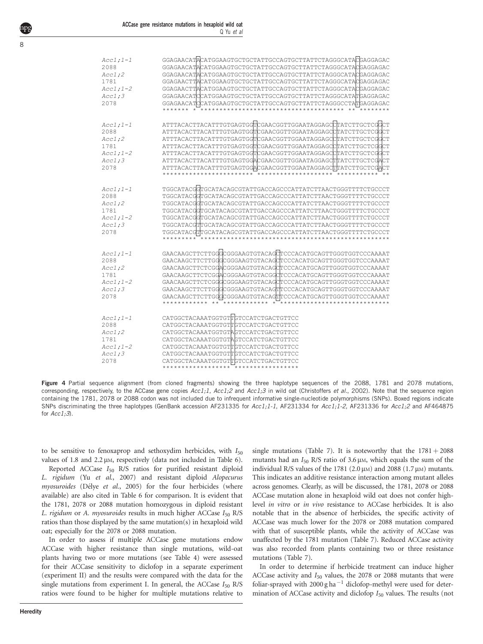<span id="page-7-0"></span>

| ۹      |  |
|--------|--|
|        |  |
| ۰,     |  |
| I<br>× |  |
|        |  |
|        |  |

| $Acc1;1-1$<br>2088<br>Acc1:2<br>1781<br>$Acc1;1-2$<br>Acc1;3<br>2078 | GGAGAACATACATGGAAGTGCTGCTATTGCCAGTGCTTATTCTAGGGCATACGAGGAGAC<br>GGAGAACATACATGGAAGTGCTGCTATTGCCAGTGCTTATTCTAGGGCATACGAGAGAC<br>GGAGAACATACATGGAAGTGCTGCTATTGCCAGTGCTTATTCTAGGGCATACGAGAGAC<br>GGAGAACTTACATGGAAGTGCTGCTATTGCCAGTGCTTATTCTAGGGCATACGAGGAGAC<br>GGAGAACTTACATGGAAGTGCTGCTATTGCCAGTGCTTATTCTAGGGCATACGAGGAGAC<br>GGAGAACATCCATGGAAGTGCTGCTATTGCCAGTGCTTATTCTAGGGCATATGAGGAGAC<br>GGAGAACATCCATGGAAGTGCTGCTATTGCCAGTGCTTATTCTAGGGCCTATGAGGAGAC                                                                            |
|----------------------------------------------------------------------|---------------------------------------------------------------------------------------------------------------------------------------------------------------------------------------------------------------------------------------------------------------------------------------------------------------------------------------------------------------------------------------------------------------------------------------------------------------------------------------------------------------------------------------|
| $Acc1;1-1$<br>2088<br>Acc1:2<br>1781<br>$Acc1:1-2$<br>Acc1;3<br>2078 | ATTTACACTTACATTTGTGAGTGGTCGAACGGTTGGAATAGGAGCCTATCTTGCTCGGCT<br>ATTTACACTTACATTTGTGAGTGGTCGAACGGTTGGAATAGGAGCCTATCTTGCTCGGCT<br>ATTTACACTTACATTTGTGAGTGGTCGAACGGTTGGAATAGGAGCCTATCTTGCTCGGCT<br>ATTTACACTTACATTTGTGAGTGGTCGAACGGTTGGAATAGGAGCCTATCTTGCTCGGCT<br>ATTTACACTTACATTTGTGAGTGGTCGAACGGTTGGAATAGGAGCCTATCTTGCTCGGCT<br>ATTTACACTTACATTTGTGAGTGGACGAACGGTTGGAATAGGAGCTTATCTTGCTCGACT<br>ATTTACACTTACATTTGTGAGTGGACGAACGGTTGGAATAGGAGCTTATCTTGCTCGACT<br>********                                                              |
| $Acc1;1-1$<br>2088<br>Acc1:2<br>1781<br>$Acc1;1-2$<br>Acc1:3<br>2078 | TGGCATACGGTGCATACAGCGTATTGACCAGCCCATTATCTTAACTGGGTTTTCTGCCCT<br>TGGCATACGGTGCATACAGCGTATTGACCAGCCCATTATCTTAACTGGGTTTTCTGCCCT<br>TGGCATACGGTGCATACAGCGTATTGACCAGCCCATTATCTTAACTGGGTTTTCTGCCCT<br>TGGCATACGGTGCATACAGCGTATTGACCAGCCCATTATCTTAACTGGGTTTTCTGCCCT<br>TGGCATACGGTGCATACAGCGTATTGACCAGCCCATTATCTTAACTGGGTTTTCTGCCCT<br>TGGCATACGTTGCATACAGCGTATTGACCAGCCCATTATCTTAACTGGGTTTTCTGCCCT<br>TGGCATACGTTGCATACAGCGTATTGACCAGCCCATTATCTTAACTGGGTTTTCTGCCCT                                                                          |
| $Acc1;1-1$<br>2088<br>Acc1:2<br>1781<br>$Acc1:1-2$<br>Acc1:3<br>2078 | GAACAAGCTTCTTGGGCGGGAAGTGTACAGCTCCCACATGCAGTTGGGTGGTCCCAAAAT<br>GAACAAGCTTCTTGGGCGGGAAGTGTACAGCTCCCACATGCAGTTGGGTGGTCCCAAAAT<br>GAACAAGCTTCTCGGACGGGAAGTGTACAGCTCCCACATGCAGTTGGGTGGTCCCAAAAT<br>GAACAAGCTTCTCGGACGGGAAGTGTACGGCTCCCACATGCAGTTGGGTGGTCCCAAAAT<br>GAACAAGCTTCTCGGGCGGGAAGTGTACAGCTCCCACATGCAGTTGGGTGGTCCCAAAAT<br>GAACAAGCTTCTTGGGCGGGAAGTGTACAGTTCCCACATGCAGTTGGGTGGTCCCAAAAT<br>GAACAAGCTTCTTGGGCGGGAAGTGTACAGTTCCCACATGCAGTTGGGTGGTCCCAAAAT<br>************ ** ************ *<br>-<br>****************************** |
| $Acc1;1-1$<br>2088<br>Acc1:2<br>1781<br>$Acc1;1-2$<br>Acc1:3<br>2078 | CATGGCTACAAATGGTGTTGTCCATCTGACTGTTCC<br>CATGGCTACAAATGGTGTTGTCCATCTGACTGTTCC<br>CATGGCTACAAATGGTGTAGTCCATCTGACTGTTCC<br>CATGGCTACAAATGGTGTAGTCCATCTGACTGTTCC<br>CATGGCTACAAATGGTGTTGTCCATCTGACTGTTCC<br>CATGGCTACAAATGGTGTTGTCCATCTGACTGTTCC<br>CATGGCTACAAATGGTGTTGTCCATCTGACTGTTCC<br>************************************                                                                                                                                                                                                          |

Figure 4 Partial sequence alignment (from cloned fragments) showing the three haplotype sequences of the 2088, 1781 and 2078 mutations, corresponding, respectively, to the ACCase gene copies  $Accl.1$ ,  $Accl.2$  and  $Accl.3$  in wild oat [\(Christoffers](#page-10-0) et al., 2002). Note that the sequence region containing the 1781, 2078 or 2088 codon was not included due to infrequent informative single-nucleotide polymorphisms (SNPs). Boxed regions indicate SNPs discriminating the three haplotypes (GenBank accession AF231335 for Acc1;1-1, AF231334 for Acc1;1-2, AF231336 for Acc1;2 and AF464875 for Acc1;3).

to be sensitive to fenoxaprop and sethoxydim herbicides, with  $I_{50}$ values of 1.8 and  $2.2 \mu$ M, respectively (data not included in [Table 6](#page-8-0)).

Reported ACCase I<sub>50</sub> R/S ratios for purified resistant diploid L. rigidum (Yu et al.[, 2007](#page-11-0)) and resistant diploid Alopecurus myosuroides (Délye et al.[, 2005\)](#page-10-0) for the four herbicides (where available) are also cited in [Table 6](#page-8-0) for comparison. It is evident that the 1781, 2078 or 2088 mutation homozygous in diploid resistant L. rigidum or A. myosuroides results in much higher ACCase  $I_{50}$  R/S ratios than those displayed by the same mutation(s) in hexaploid wild oat; especially for the 2078 or 2088 mutation.

In order to assess if multiple ACCase gene mutations endow ACCase with higher resistance than single mutations, wild-oat plants having two or more mutations (see [Table 4\)](#page-4-0) were assessed for their ACCase sensitivity to diclofop in a separate experiment (experiment II) and the results were compared with the data for the single mutations from experiment I. In general, the ACCase  $I_{50}$  R/S ratios were found to be higher for multiple mutations relative to single mutations ([Table 7](#page-8-0)). It is noteworthy that the  $1781 + 2088$ mutants had an  $I_{50}$  R/S ratio of 3.6  $\mu$ M, which equals the sum of the individual R/S values of the 1781 (2.0  $\mu$ M) and 2088 (1.7  $\mu$ M) mutants. This indicates an additive resistance interaction among mutant alleles across genomes. Clearly, as will be discussed, the 1781, 2078 or 2088 ACCase mutation alone in hexaploid wild oat does not confer highlevel in vitro or in vivo resistance to ACCase herbicides. It is also notable that in the absence of herbicides, the specific activity of ACCase was much lower for the 2078 or 2088 mutation compared with that of susceptible plants, while the activity of ACCase was unaffected by the 1781 mutation ([Table 7](#page-8-0)). Reduced ACCase activity was also recorded from plants containing two or three resistance mutations ([Table 7](#page-8-0)).

In order to determine if herbicide treatment can induce higher ACCase activity and  $I_{50}$  values, the 2078 or 2088 mutants that were foliar-sprayed with 2000 g ha<sup>-1</sup> diclofop-methyl were used for determination of ACCase activity and diclofop  $I_{50}$  values. The results (not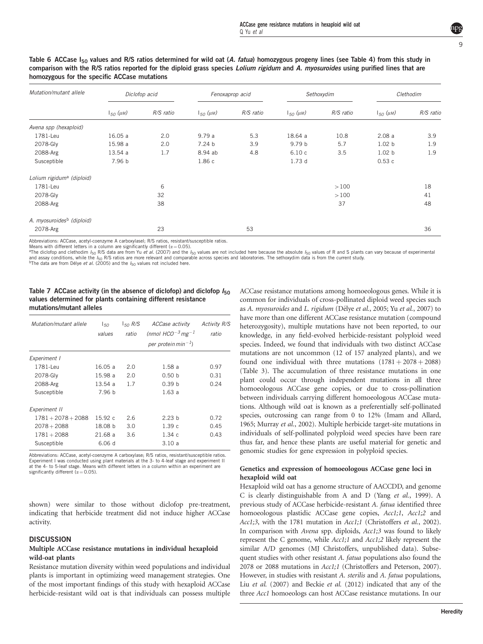| Mutation/mutant allele                | Diclofop acid               |           | Fenoxaprop acid     |           | Sethoxydim                  |           | Clethodim                   |           |
|---------------------------------------|-----------------------------|-----------|---------------------|-----------|-----------------------------|-----------|-----------------------------|-----------|
|                                       | $1_{50}$ ( $\mu$ <i>M</i> ) | R/S ratio | $1_{50}$ ( $\mu$ M) | R/S ratio | $1_{50}$ ( $\mu$ <i>M</i> ) | R/S ratio | $1_{50}$ ( $\mu$ <i>M</i> ) | R/S ratio |
| Avena spp (hexaploid)                 |                             |           |                     |           |                             |           |                             |           |
| 1781-Leu                              | 16.05a                      | 2.0       | 9.79a               | 5.3       | 18.64 a                     | 10.8      | 2.08a                       | 3.9       |
| 2078-Gly                              | 15.98 a                     | 2.0       | 7.24 b              | 3.9       | 9.79 <sub>b</sub>           | 5.7       | 1.02 <sub>b</sub>           | 1.9       |
| 2088-Arg                              | 13.54a                      | 1.7       | 8.94 ab             | 4.8       | 6.10c                       | 3.5       | 1.02 <sub>b</sub>           | 1.9       |
| Susceptible                           | 7.96 b                      |           | 1.86c               |           | 1.73d                       |           | 0.53c                       |           |
| Lolium rigidum <sup>a</sup> (diploid) |                             |           |                     |           |                             |           |                             |           |
| 1781-Leu                              |                             | 6         |                     |           |                             | >100      |                             | 18        |
| 2078-Gly                              |                             | 32        |                     |           |                             | >100      |                             | 41        |
| 2088-Arg                              |                             | 38        |                     |           |                             | 37        |                             | 48        |
| A. myosuroides <sup>b</sup> (diploid) |                             |           |                     |           |                             |           |                             |           |
| 2078-Arg                              |                             | 23        |                     | 53        |                             |           |                             | 36        |

<span id="page-8-0"></span>Table 6 ACCase  $I_{50}$  values and R/S ratios determined for wild oat (A. fatua) homozygous progeny lines (see [Table 4](#page-4-0)) from this study in comparison with the R/S ratios reported for the diploid grass species Lolium rigidum and A. myosuroides using purified lines that are homozygous for the specific ACCase mutations

Abbreviations: ACCase, acetyl-coenzyme A carboxylasel; R/S ratios, resistant/susceptible ratios.<br>Means with different letters in a column are significantly different ( $\alpha$  = 0.05).

<sup>a</sup>The diclofop and clethodim I<sub>50</sub> R/S data are from Yu et al. [\(2007\)](#page-11-0) and the I<sub>50</sub> values are not included here because the absolute I<sub>50</sub> values of R and S plants can vary because of experimental and assay conditions, while the  $I_{50}$  R/S ratios are more relevant and comparable across species and laboratories. The sethoxydim data is from the current study <sup>b</sup>The data are from Délye *et al.* [\(2005\)](#page-10-0) and the  $I_{50}$ 

Table 7 ACCase activity (in the absence of diclofop) and diclofop  $I_{50}$ values determined for plants containing different resistance mutations/mutant alleles

| per protein min <sup>-1</sup> )                                    | ratio |
|--------------------------------------------------------------------|-------|
| Experiment I                                                       |       |
| 1781-Leu<br>16.05a<br>2.0<br>1.58a<br>0.97                         |       |
| 2078-Gly<br>15.98 a<br>2.0<br>0.50 <sub>b</sub><br>0.31            |       |
| 1.7<br>13.54a<br>0.39 <sub>b</sub><br>0.24<br>2088-Arg             |       |
| 7.96 b<br>1.63a<br>Susceptible                                     |       |
| Experiment II                                                      |       |
| $1781 + 2078 + 2088$<br>15.92c<br>2.6<br>2.23 <sub>b</sub><br>0.72 |       |
| 18.08 b<br>3.0<br>$2078 + 2088$<br>1.39c<br>0.45                   |       |
| 3.6<br>21.68a<br>1.34c<br>$1781 + 2088$<br>0.43                    |       |
| 6.06d<br>3.10a<br>Susceptible                                      |       |

Abbreviations: ACCase, acetyl-coenzyme A carboxylase; R/S ratios, resistant/susceptible ratios. Experiment I was conducted using plant materials at the 3- to 4-leaf stage and experiment II at the 4- to 5-leaf stage. Means with different letters in a column within an experiment are significantly different ( $\alpha$  = 0.05).

shown) were similar to those without diclofop pre-treatment, indicating that herbicide treatment did not induce higher ACCase activity.

#### **DISCUSSION**

## Multiple ACCase resistance mutations in individual hexaploid wild-oat plants

Resistance mutation diversity within weed populations and individual plants is important in optimizing weed management strategies. One of the most important findings of this study with hexaploid ACCase herbicide-resistant wild oat is that individuals can possess multiple ACCase resistance mutations among homoeologous genes. While it is common for individuals of cross-pollinated diploid weed species such as A. myosuroides and L. rigidum (Délye et al.[, 2005](#page-10-0); Yu et al.[, 2007\)](#page-11-0) to have more than one different ACCase resistance mutation (compound heterozygosity), multiple mutations have not been reported, to our knowledge, in any field-evolved herbicide-resistant polyploid weed species. Indeed, we found that individuals with two distinct ACCase mutations are not uncommon (12 of 157 analyzed plants), and we found one individual with three mutations  $(1781 + 2078 + 2088)$ [\(Table 3\)](#page-3-0). The accumulation of three resistance mutations in one plant could occur through independent mutations in all three homoeologous ACCase gene copies, or due to cross-pollination between individuals carrying different homoeologous ACCase mutations. Although wild oat is known as a preferentially self-pollinated species, outcrossing can range from 0 to 12% [\(Imam and Allard,](#page-11-0) [1965; Murray](#page-11-0) et al., 2002). Multiple herbicide target-site mutations in individuals of self-pollinated polyploid weed species have been rare thus far, and hence these plants are useful material for genetic and genomic studies for gene expression in polyploid species.

## Genetics and expression of homoeologous ACCase gene loci in hexaploid wild oat

Hexaploid wild oat has a genome structure of AACCDD, and genome C is clearly distinguishable from A and D (Yang et al.[, 1999](#page-11-0)). A previous study of ACCase herbicide-resistant A. fatua identified three homoeologous plastidic ACCase gene copies, Acc1;1, Acc1;2 and Acc1;3, with the 1781 mutation in Acc1;1 [\(Christoffers](#page-10-0) et al., 2002). In comparison with Avena spp. diploids, Acc1;3 was found to likely represent the C genome, while Acc1;1 and Acc1;2 likely represent the similar A/D genomes (MJ Christoffers, unpublished data). Subsequent studies with other resistant A. fatua populations also found the 2078 or 2088 mutations in Acc1;1 [\(Christoffers and Peterson, 2007\)](#page-10-0). However, in studies with resistant A. sterilis and A. fatua populations, Liu et al. [\(2007\)](#page-11-0) and Beckie et al. [\(2012\)](#page-10-0) indicated that any of the three Acc1 homoeologs can host ACCase resistance mutations. In our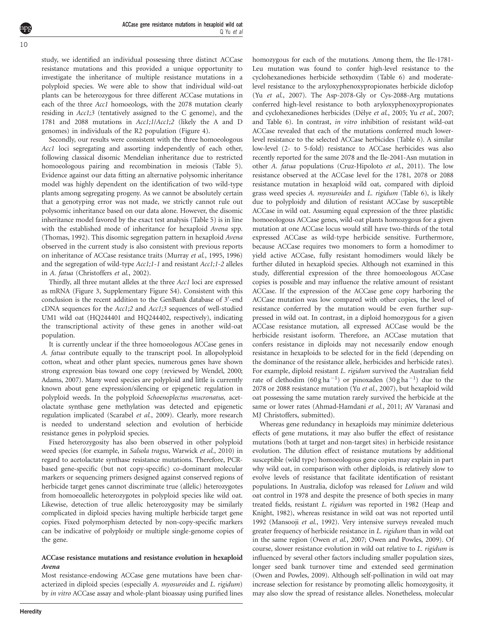study, we identified an individual possessing three distinct ACCase resistance mutations and this provided a unique opportunity to investigate the inheritance of multiple resistance mutations in a polyploid species. We were able to show that individual wild-oat plants can be heterozygous for three different ACCase mutations in each of the three Acc1 homoeologs, with the 2078 mutation clearly residing in Acc1;3 (tentatively assigned to the C genome), and the 1781 and 2088 mutations in Acc1;1/Acc1;2 (likely the A and D genomes) in individuals of the R2 population [\(Figure 4\)](#page-7-0).

Secondly, our results were consistent with the three homoeologous Acc1 loci segregating and assorting independently of each other, following classical disomic Mendelian inheritance due to restricted homoeologous pairing and recombination in meiosis [\(Table 5](#page-5-0)). Evidence against our data fitting an alternative polysomic inheritance model was highly dependent on the identification of two wild-type plants among segregating progeny. As we cannot be absolutely certain that a genotyping error was not made, we strictly cannot rule out polysomic inheritance based on our data alone. However, the disomic inheritance model favored by the exact test analysis [\(Table 5](#page-5-0)) is in line with the established mode of inheritance for hexaploid Avena spp. ([Thomas, 1992\)](#page-11-0). This disomic segregation pattern in hexaploid Avena observed in the current study is also consistent with previous reports on inheritance of ACCase resistance traits (Murray et al.[, 1995, 1996](#page-11-0)) and the segregation of wild-type Acc1;1-1 and resistant Acc1;1-2 alleles in A. fatua ([Christoffers](#page-10-0) et al., 2002).

Thirdly, all three mutant alleles at the three Acc1 loci are expressed as mRNA ([Figure 3](#page-6-0), Supplementary Figure S4). Consistent with this conclusion is the recent addition to the GenBank database of 3'-end cDNA sequences for the Acc1;2 and Acc1;3 sequences of well-studied UM1 wild oat (HQ244401 and HQ244402, respectively), indicating the transcriptional activity of these genes in another wild-oat population.

It is currently unclear if the three homoeologous ACCase genes in A. fatua contribute equally to the transcript pool. In allopolyploid cotton, wheat and other plant species, numerous genes have shown strong expression bias toward one copy (reviewed by [Wendel, 2000](#page-11-0); [Adams, 2007](#page-10-0)). Many weed species are polyploid and little is currently known about gene expression/silencing or epigenetic regulation in polyploid weeds. In the polyploid Schoenoplectus mucronatus, acetolactate synthase gene methylation was detected and epigenetic regulation implicated [\(Scarabel](#page-11-0) et al., 2009). Clearly, more research is needed to understand selection and evolution of herbicide resistance genes in polyploid species.

Fixed heterozygosity has also been observed in other polyploid weed species (for example, in Salsola tragus, [Warwick](#page-11-0) et al., 2010) in regard to acetolactate synthase resistance mutations. Therefore, PCRbased gene-specific (but not copy-specific) co-dominant molecular markers or sequencing primers designed against conserved regions of herbicide target genes cannot discriminate true (allelic) heterozygotes from homoeoallelic heterozygotes in polyploid species like wild oat. Likewise, detection of true allelic heterozygosity may be similarly complicated in diploid species having multiple herbicide target gene copies. Fixed polymorphism detected by non-copy-specific markers can be indicative of polyploidy or multiple single-genome copies of the gene.

## ACCase resistance mutations and resistance evolution in hexaploid Avena

Most resistance-endowing ACCase gene mutations have been characterized in diploid species (especially A. myosuroides and L. rigidum) by in vitro ACCase assay and whole-plant bioassay using purified lines Leu mutation was found to confer high-level resistance to the cyclohexanediones herbicide sethoxydim [\(Table 6](#page-8-0)) and moderatelevel resistance to the aryloxyphenoxypropionates herbicide diclofop (Yu et al.[, 2007\)](#page-11-0). The Asp-2078-Gly or Cys-2088-Arg mutations conferred high-level resistance to both aryloxyphenoxypropionates and cyclohexanediones herbicides (Délye et al.[, 2005;](#page-10-0) Yu et al.[, 2007](#page-11-0); and [Table 6](#page-8-0)). In contrast, in vitro inhibition of resistant wild-oat ACCase revealed that each of the mutations conferred much lowerlevel resistance to the selected ACCase herbicides ([Table 6](#page-8-0)). A similar low-level (2- to 5-fold) resistance to ACCase herbicides was also recently reported for the same 2078 and the Ile-2041-Asn mutation in other A. fatua populations [\(Cruz-Hipoloto](#page-10-0) et al., 2011). The low resistance observed at the ACCase level for the 1781, 2078 or 2088 resistance mutation in hexaploid wild oat, compared with diploid grass weed species A. myosuroides and L. rigidum [\(Table 6\)](#page-8-0), is likely due to polyploidy and dilution of resistant ACCase by susceptible ACCase in wild oat. Assuming equal expression of the three plastidic homoeologous ACCase genes, wild-oat plants homozygous for a given mutation at one ACCase locus would still have two-thirds of the total expressed ACCase as wild-type herbicide sensitive. Furthermore, because ACCase requires two monomers to form a homodimer to yield active ACCase, fully resistant homodimers would likely be further diluted in hexaploid species. Although not examined in this study, differential expression of the three homoeologous ACCase copies is possible and may influence the relative amount of resistant ACCase. If the expression of the ACCase gene copy harboring the ACCase mutation was low compared with other copies, the level of resistance conferred by the mutation would be even further suppressed in wild oat. In contrast, in a diploid homozygous for a given ACCase resistance mutation, all expressed ACCase would be the herbicide resistant isoform. Therefore, an ACCase mutation that confers resistance in diploids may not necessarily endow enough resistance in hexaploids to be selected for in the field (depending on the dominance of the resistance allele, herbicides and herbicide rates). For example, diploid resistant L. rigidum survived the Australian field rate of clethodim  $(60 \text{ g ha}^{-1})$  or pinoxaden  $(30 \text{ g ha}^{-1})$  due to the 2078 or 2088 resistance mutation (Yu et al.[, 2007\)](#page-11-0), but hexaploid wild oat possessing the same mutation rarely survived the herbicide at the same or lower rates (Ahmad-[Hamdani](#page-10-0) et al., 2011; AV Varanasi and MJ Christoffers, submitted).

homozygous for each of the mutations. Among them, the Ile-1781-

Whereas gene redundancy in hexaploids may minimize deleterious effects of gene mutations, it may also buffer the effect of resistance mutations (both at target and non-target sites) in herbicide resistance evolution. The dilution effect of resistance mutations by additional susceptible (wild type) homoeologous gene copies may explain in part why wild oat, in comparison with other diploids, is relatively slow to evolve levels of resistance that facilitate identification of resistant populations. In Australia, diclofop was released for Lolium and wild oat control in 1978 and despite the presence of both species in many treated fields, resistant L. rigidum was reported in 1982 [\(Heap and](#page-11-0) [Knight, 1982\)](#page-11-0), whereas resistance in wild oat was not reported until 1992 [\(Mansooji](#page-11-0) et al., 1992). Very intensive surveys revealed much greater frequency of herbicide resistance in L. rigidum than in wild oat in the same region (Owen et al.[, 2007; Owen and Powles, 2009\)](#page-11-0). Of course, slower resistance evolution in wild oat relative to L. rigidum is influenced by several other factors including smaller population sizes, longer seed bank turnover time and extended seed germination ([Owen and Powles, 2009\)](#page-11-0). Although self-pollination in wild oat may increase selection for resistance by promoting allelic homozygosity, it may also slow the spread of resistance alleles. Nonetheless, molecular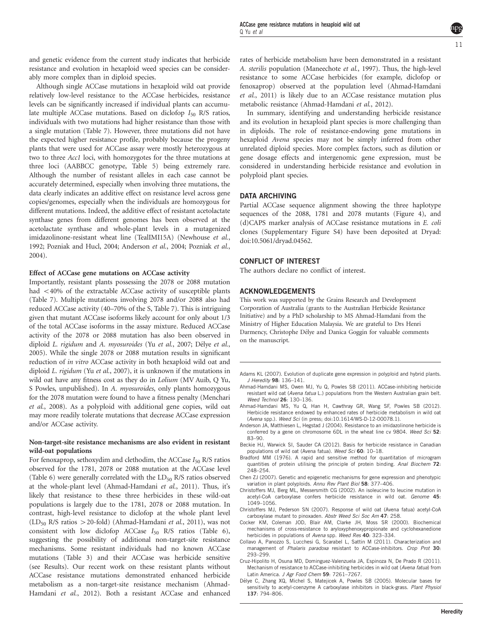<span id="page-10-0"></span>and genetic evidence from the current study indicates that herbicide resistance and evolution in hexaploid weed species can be considerably more complex than in diploid species.

Although single ACCase mutations in hexaploid wild oat provide relatively low-level resistance to the ACCase herbicides, resistance levels can be significantly increased if individual plants can accumulate multiple ACCase mutations. Based on diclofop  $I_{50}$  R/S ratios, individuals with two mutations had higher resistance than those with a single mutation ([Table 7](#page-8-0)). However, three mutations did not have the expected higher resistance profile, probably because the progeny plants that were used for ACCase assay were mostly heterozygous at two to three Acc1 loci, with homozygotes for the three mutations at three loci (AABBCC genotype, [Table 5](#page-5-0)) being extremely rare. Although the number of resistant alleles in each case cannot be accurately determined, especially when involving three mutations, the data clearly indicates an additive effect on resistance level across gene copies/genomes, especially when the individuals are homozygous for different mutations. Indeed, the additive effect of resistant acetolactate synthase genes from different genomes has been observed at the acetolactate synthase and whole-plant levels in a mutagenized imidazolinone-resistant wheat line (TealIMI15A) [\(Newhouse](#page-11-0) et al., [1992; Pozniak and Hucl, 2004;](#page-11-0) Anderson et al., 2004; [Pozniak](#page-11-0) et al., [2004\)](#page-11-0).

## Effect of ACCase gene mutations on ACCase activity

Importantly, resistant plants possessing the 2078 or 2088 mutation had  $\langle 40\%$  of the extractable ACCase activity of susceptible plants [\(Table 7\)](#page-8-0). Multiple mutations involving 2078 and/or 2088 also had reduced ACCase activity (40–70% of the S, [Table 7](#page-8-0)). This is intriguing given that mutant ACCase isoforms likely account for only about 1/3 of the total ACCase isoforms in the assay mixture. Reduced ACCase activity of the 2078 or 2088 mutation has also been observed in diploid L. rigidum and A. myosuroides (Yu et al.[, 2007](#page-11-0); Délye et al., 2005). While the single 2078 or 2088 mutation results in significant reduction of in vitro ACCase activity in both hexaploid wild oat and diploid L. rigidum (Yu et al.[, 2007\)](#page-11-0), it is unknown if the mutations in wild oat have any fitness cost as they do in Lolium (MV Auib, Q Yu, S Powles, unpublished). In A. myosuroides, only plants homozygous for the 2078 mutation were found to have a fitness penalty [\(Menchari](#page-11-0) et al.[, 2008](#page-11-0)). As a polyploid with additional gene copies, wild oat may more readily tolerate mutations that decrease ACCase expression and/or ACCase activity.

## Non-target-site resistance mechanisms are also evident in resistant wild-oat populations

For fenoxaprop, sethoxydim and clethodim, the ACCase  $I_{50}$  R/S ratios observed for the 1781, 2078 or 2088 mutation at the ACCase level [\(Table 6](#page-8-0)) were generally correlated with the  $LD_{50}$  R/S ratios observed at the whole-plant level (Ahmad-Hamdani et al., 2011). Thus, it's likely that resistance to these three herbicides in these wild-oat populations is largely due to the 1781, 2078 or 2088 mutation. In contrast, high-level resistance to diclofop at the whole plant level  $(LD_{50}$  R/S ratios  $>$  20-fold) (Ahmad-Hamdani *et al.*, 2011), was not consistent with low diclofop ACCase  $I_{50}$  R/S ratios [\(Table 6](#page-8-0)), suggesting the possibility of additional non-target-site resistance mechanisms. Some resistant individuals had no known ACCase mutations [\(Table 3\)](#page-3-0) and their ACCase was herbicide sensitive (see Results). Our recent work on these resistant plants without ACCase resistance mutations demonstrated enhanced herbicide metabolism as a non-target-site resistance mechanism (Ahmad-Hamdani et al., 2012). Both a resistant ACCase and enhanced

rates of herbicide metabolism have been demonstrated in a resistant A. sterilis population [\(Maneechote](#page-11-0) et al., 1997). Thus, the high-level resistance to some ACCase herbicides (for example, diclofop or fenoxaprop) observed at the population level (Ahmad-Hamdani et al., 2011) is likely due to an ACCase resistance mutation plus metabolic resistance (Ahmad-Hamdani et al., 2012).

In summary, identifying and understanding herbicide resistance and its evolution in hexaploid plant species is more challenging than in diploids. The role of resistance-endowing gene mutations in hexaploid Avena species may not be simply inferred from other unrelated diploid species. More complex factors, such as dilution or gene dosage effects and intergenomic gene expression, must be considered in understanding herbicide resistance and evolution in polyploid plant species.

## DATA ARCHIVING

Partial ACCase sequence alignment showing the three haplotype sequences of the 2088, 1781 and 2078 mutants [\(Figure 4](#page-7-0)), and (d)CAPS marker analysis of ACCase resistance mutations in E. coli clones (Supplementary Figure S4) have been deposited at Dryad: [doi:10.5061/dryad.04562](http://dx.doi.org/doi:10.5061/dryad.04562).

#### CONFLICT OF INTEREST

The authors declare no conflict of interest.

#### ACKNOWLEDGEMENTS

This work was supported by the Grains Research and Development Corporation of Australia (grants to the Australian Herbicide Resistance Initiative) and by a PhD scholarship to MS Ahmad-Hamdani from the Ministry of Higher Education Malaysia. We are grateful to Drs Henri Darmency, Christophe Délye and Danica Goggin for valuable comments on the manuscript.

- Adams KL (2007). Evolution of duplicate gene expression in polyploid and hybrid plants. J Heredity 98: 136–141.
- Ahmad-Hamdani MS, Owen MJ, Yu Q, Powles SB (2011). ACCase-inhibiting herbicide resistant wild oat (Avena fatua L.) populations from the Western Australian grain belt. Weed Technol 26: 130–136.
- Ahmad-Hamdani MS, Yu Q, Han H, Cawthray GR, Wang SF, Powles SB (2012). Herbicide resistance endowed by enhanced rates of herbicide metabolism in wild oat (Avena spp.). Weed Sci (in press; doi:10.1614/WS-D-12-00078.1).
- Anderson JA, Matthiesen L, Hegstad J (2004). Resistance to an imidazolinone herbicide is conferred by a gene on chromosome 6DL in the wheat line cv 9804. Weed Sci 52: 83–90.
- Beckie HJ, Warwick SI, Sauder CA (2012). Basis for herbicide resistance in Canadian populations of wild oat (Avena fatua). Weed Sci 60: 10–18.
- Bradford MM (1976). A rapid and sensitive method for quantitation of microgram quantities of protein utilising the principle of protein binding. Anal Biochem 72: 248–254.
- Chen ZJ (2007). Genetic and epigenetic mechanisms for gene expression and phenotypic variation in plant polyploids. Annu Rev Plant Biol 58: 377-406.
- Christoffers MJ, Berg ML, Messersmith CG (2002). An isoleucine to leucine mutation in acetyl-CoA carboxylase confers herbicide resistance in wild oat. Genome 45: 1049–1056.
- Christoffers MJ, Pederson SN (2007). Response of wild oat (Avena fatua) acetyl-CoA carboxylase mutant to pinoxaden. Abstr Weed Sci Soc Am 47: 258.
- Cocker KM, Coleman JOD, Blair AM, Clarke JH, Moss SR (2000). Biochemical mechanisms of cross-resistance to aryloxyphenoxypropionate and cyclohexanedione herbicides in populations of Avena spp. Weed Res 40: 323-334.
- Collavo A, Panozzo S, Lucchesi G, Scarabel L, Sattin M (2011). Characterization and management of Phalaris paradoxa resistant to ACCase-inhibitors. Crop Prot 30: 293–299.
- Cruz-Hipolito H, Osuna MD, Dominguez-Valenzuela JA, Espinoza N, De Prado R (2011). Mechanism of resistance to ACCase-inhibiting herbicides in wild oat (Avena fatua) from Latin America. J Agr Food Chem 59: 7261-7267.
- Délye C, Zhang XQ, Michel S, Matejicek A, Powles SB (2005). Molecular bases for sensitivity to acetyl-coenzyme A carboxylase inhibitors in black-grass. Plant Physiol 137: 794–806.